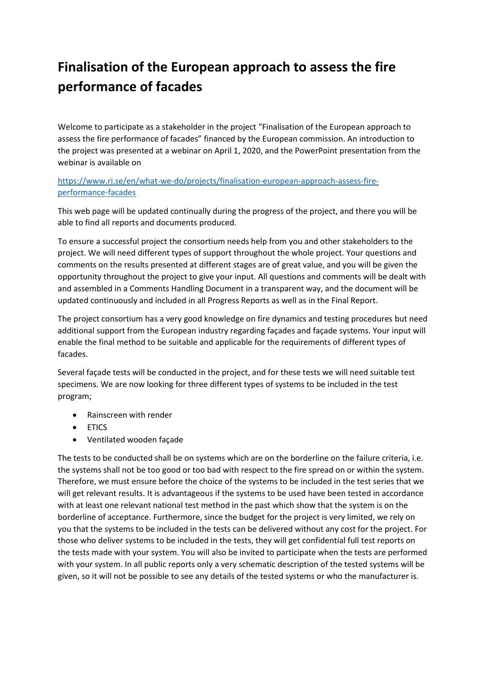## **Finalisation of the European approach to assess the fire performance of facades**

Welcome to participate as a stakeholder in the project "Finalisation of the European approach to assess the fire performance of facades" financed by the European commission. An introduction to the project was presented at a webinar on April 1, 2020, and the PowerPoint presentation from the webinar is available on

[https://www.ri.se/en/what-we-do/projects/finalisation-european-approach-assess-fire](https://www.ri.se/en/what-we-do/projects/finalisation-european-approach-assess-fire-performance-facades)[performance-facades](https://www.ri.se/en/what-we-do/projects/finalisation-european-approach-assess-fire-performance-facades)

This web page will be updated continually during the progress of the project, and there you will be able to find all reports and documents produced.

To ensure a successful project the consortium needs help from you and other stakeholders to the project. We will need different types of support throughout the whole project. Your questions and comments on the results presented at different stages are of great value, and you will be given the opportunity throughout the project to give your input. All questions and comments will be dealt with and assembled in a Comments Handling Document in a transparent way, and the document will be updated continuously and included in all Progress Reports as well as in the Final Report.

The project consortium has a very good knowledge on fire dynamics and testing procedures but need additional support from the European industry regarding façades and façade systems. Your input will enable the final method to be suitable and applicable for the requirements of different types of facades.

Several façade tests will be conducted in the project, and for these tests we will need suitable test specimens. We are now looking for three different types of systems to be included in the test program;

- Rainscreen with render
- ETICS
- Ventilated wooden façade

The tests to be conducted shall be on systems which are on the borderline on the failure criteria, i.e. the systems shall not be too good or too bad with respect to the fire spread on or within the system. Therefore, we must ensure before the choice of the systems to be included in the test series that we will get relevant results. It is advantageous if the systems to be used have been tested in accordance with at least one relevant national test method in the past which show that the system is on the borderline of acceptance. Furthermore, since the budget for the project is very limited, we rely on you that the systems to be included in the tests can be delivered without any cost for the project. For those who deliver systems to be included in the tests, they will get confidential full test reports on the tests made with your system. You will also be invited to participate when the tests are performed with your system. In all public reports only a very schematic description of the tested systems will be given, so it will not be possible to see any details of the tested systems or who the manufacturer is.